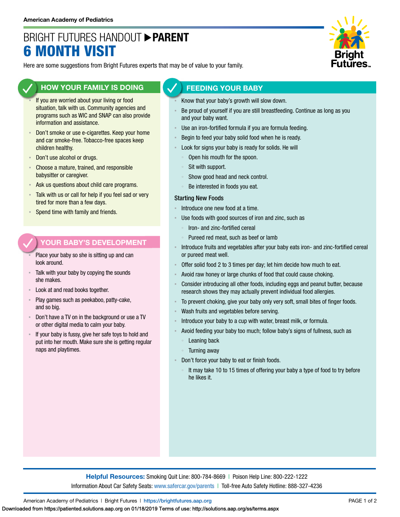# BRIGHT FUTURES HANDOUT **PARENT** 6 MONTH VISIT



Here are some suggestions from Bright Futures experts that may be of value to your family.

## **HOW YOUR FAMILY IS DOING**

- If you are worried about your living or food situation, talk with us. Community agencies and programs such as WIC and SNAP can also provide information and assistance.
- Don't smoke or use e-cigarettes. Keep your home and car smoke-free. Tobacco-free spaces keep children healthy.
- Don't use alcohol or drugs.
- **EXPLO** Choose a mature, trained, and responsible babysitter or caregiver.
- Ask us questions about child care programs.
- Talk with us or call for help if you feel sad or very tired for more than a few days.
- Spend time with family and friends.

#### **YOUR BABY'S DEVELOPMENT**

- Place your baby so she is sitting up and can look around.
- Talk with your baby by copying the sounds she makes.
- Look at and read books together.
- Play games such as peekaboo, patty-cake, and so big.
- Don't have a TV on in the background or use a TV or other digital media to calm your baby.
- If your baby is fussy, give her safe toys to hold and put into her mouth. Make sure she is getting regular naps and playtimes.

### **FEEDING YOUR BABY**

- Know that your baby's growth will slow down.
- Be proud of yourself if you are still breastfeeding. Continue as long as you and your baby want.
- Use an iron-fortified formula if you are formula feeding.
- Begin to feed your baby solid food when he is ready.
- Look for signs your baby is ready for solids. He will
	- Open his mouth for the spoon.
	- Sit with support.
	- Show good head and neck control.
	- Be interested in foods you eat.

#### Starting New Foods

- Introduce one new food at a time.
- Use foods with good sources of iron and zinc, such as
	- Iron- and zinc-fortified cereal
	- Pureed red meat, such as beef or lamb
- Introduce fruits and vegetables after your baby eats iron- and zinc-fortified cereal or pureed meat well.
- Offer solid food 2 to 3 times per day; let him decide how much to eat.
- Avoid raw honey or large chunks of food that could cause choking.
- Consider introducing all other foods, including eggs and peanut butter, because research shows they may actually prevent individual food allergies.
- To prevent choking, give your baby only very soft, small bites of finger foods.
- Wash fruits and vegetables before serving.
- Introduce your baby to a cup with water, breast milk, or formula.
- Avoid feeding your baby too much; follow baby's signs of fullness, such as Leaning back
	- Turning away
- Don't force your baby to eat or finish foods.
	- It may take 10 to 15 times of offering your baby a type of food to try before he likes it.

**Helpful Resources:** Smoking Quit Line: 800-784-8669 | Poison Help Line: 800-222-1222 Information About Car Safety Seats: [www.safercar.gov/parents](https://www.nhtsa.gov/parents-and-caregivers) | Toll-free Auto Safety Hotline: 888-327-4236

American Academy of Pediatrics | Bright Futures | https:/[/brightfutures.aap.org](https://brightfutures.aap.org/Pages/default.aspx) PAGE 1 of 2

Downloaded from https://patiented.solutions.aap.org on 01/18/2019 Terms of use: http://solutions.aap.org/ss/terms.aspx